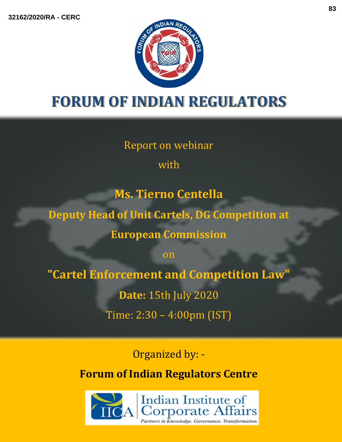

# **FORUM OF INDIAN REGULATORS**

Report on webinar

with

**Ms. Tierno Centella**

**Deputy Head of Unit Cartels, DG Competition at** 

**European Commission** 

on

**"Cartel Enforcement and Competition Law"**

**Date:** 15th July 2020

Time: 2:30 – 4:00pm (IST)

Organized by: -

**Forum of Indian Regulators Centre**

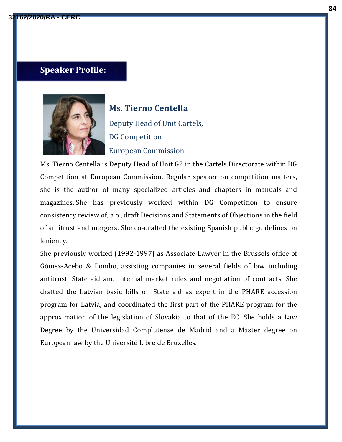## **Speaker Profile:**



**Ms. Tierno Centella** Deputy Head of Unit Cartels, DG Competition European Commission

Ms. Tierno Centella is Deputy Head of Unit G2 in the Cartels Directorate within DG Competition at European Commission. Regular speaker on competition matters, she is the author of many specialized articles and chapters in manuals and magazines. She has previously worked within DG Competition to ensure consistency review of, a.o., draft Decisions and Statements of Objections in the field of antitrust and mergers. She co-drafted the existing Spanish public guidelines on leniency.

She previously worked (1992-1997) as Associate Lawyer in the Brussels office of Gómez-Acebo & Pombo, assisting companies in several fields of law including antitrust, State aid and internal market rules and negotiation of contracts. She drafted the Latvian basic bills on State aid as expert in the PHARE accession program for Latvia, and coordinated the first part of the PHARE program for the approximation of the legislation of Slovakia to that of the EC. She holds a Law Degree by the Universidad Complutense de Madrid and a Master degree on European law by the Université Libre de Bruxelles.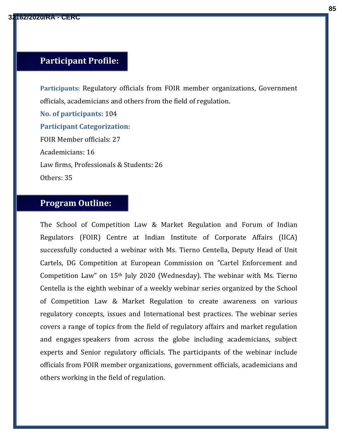#### **Participant Profile:**

**Participants:** Regulatory officials from FOIR member organizations, Government officials, academicians and others from the field of regulation.

**No. of participants:** 104 **Participant Categorization:** FOIR Member officials: 27 Academicians: 16 Law firms, Professionals & Students: 26 Others: 35

### **Program Outline:**

The School of Competition Law & Market Regulation and Forum of Indian Regulators (FOIR) Centre at Indian Institute of Corporate Affairs (IICA) successfully conducted a webinar with Ms. Tierno Centella, Deputy Head of Unit Cartels, DG Competition at European Commission on "Cartel Enforcement and Competition Law" on 15th July 2020 (Wednesday). The webinar with Ms. Tierno Centella is the eighth webinar of a weekly webinar series organized by the School of Competition Law & Market Regulation to create awareness on various regulatory concepts, issues and International best practices. The webinar series covers a range of topics from the field of regulatory affairs and market regulation and engages speakers from across the globe including academicians, subject experts and Senior regulatory officials. The participants of the webinar include officials from FOIR member organizations, government officials, academicians and others working in the field of regulation.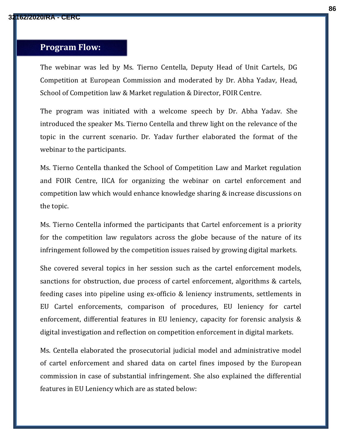#### **Program Flow:**

The webinar was led by Ms. Tierno Centella, Deputy Head of Unit Cartels, DG Competition at European Commission and moderated by Dr. Abha Yadav, Head, School of Competition law & Market regulation & Director, FOIR Centre.

The program was initiated with a welcome speech by Dr. Abha Yadav. She introduced the speaker Ms. Tierno Centella and threw light on the relevance of the topic in the current scenario. Dr. Yadav further elaborated the format of the webinar to the participants.

Ms. Tierno Centella thanked the School of Competition Law and Market regulation and FOIR Centre, IICA for organizing the webinar on cartel enforcement and competition law which would enhance knowledge sharing & increase discussions on the topic.

Ms. Tierno Centella informed the participants that Cartel enforcement is a priority for the competition law regulators across the globe because of the nature of its infringement followed by the competition issues raised by growing digital markets.

She covered several topics in her session such as the cartel enforcement models, sanctions for obstruction, due process of cartel enforcement, algorithms & cartels, feeding cases into pipeline using ex-officio & leniency instruments, settlements in EU Cartel enforcements, comparison of procedures, EU leniency for cartel enforcement, differential features in EU leniency, capacity for forensic analysis & digital investigation and reflection on competition enforcement in digital markets.

Ms. Centella elaborated the prosecutorial judicial model and administrative model of cartel enforcement and shared data on cartel fines imposed by the European commission in case of substantial infringement. She also explained the differential features in EU Leniency which are as stated below: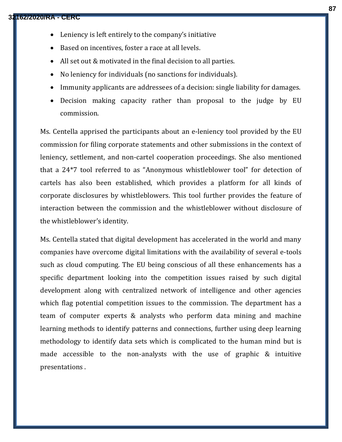- Leniency is left entirely to the company's initiative
- Based on incentives, foster a race at all levels.
- All set out & motivated in the final decision to all parties.
- No leniency for individuals (no sanctions for individuals).
- Immunity applicants are addressees of a decision: single liability for damages.
- Decision making capacity rather than proposal to the judge by EU commission.

Ms. Centella apprised the participants about an e-leniency tool provided by the EU commission for filing corporate statements and other submissions in the context of leniency, settlement, and non-cartel cooperation proceedings. She also mentioned that a 24\*7 tool referred to as "Anonymous whistleblower tool" for detection of cartels has also been established, which provides a platform for all kinds of corporate disclosures by whistleblowers. This tool further provides the feature of interaction between the commission and the whistleblower without disclosure of the whistleblower's identity.

Ms. Centella stated that digital development has accelerated in the world and many companies have overcome digital limitations with the availability of several e-tools such as cloud computing. The EU being conscious of all these enhancements has a specific department looking into the competition issues raised by such digital development along with centralized network of intelligence and other agencies which flag potential competition issues to the commission. The department has a team of computer experts & analysts who perform data mining and machine learning methods to identify patterns and connections, further using deep learning methodology to identify data sets which is complicated to the human mind but is made accessible to the non-analysts with the use of graphic & intuitive presentations .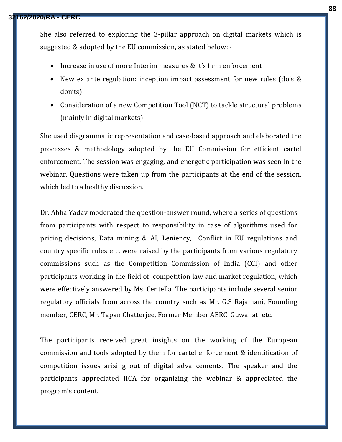#### **32162/2020/RA - CERC**

She also referred to exploring the 3-pillar approach on digital markets which is suggested & adopted by the EU commission, as stated below: -

- Increase in use of more Interim measures & it's firm enforcement
- New ex ante regulation: inception impact assessment for new rules (do's & don'ts)
- Consideration of a new Competition Tool (NCT) to tackle structural problems (mainly in digital markets)

She used diagrammatic representation and case-based approach and elaborated the processes & methodology adopted by the EU Commission for efficient cartel enforcement. The session was engaging, and energetic participation was seen in the webinar. Questions were taken up from the participants at the end of the session, which led to a healthy discussion.

Dr. Abha Yadav moderated the question-answer round, where a series of questions from participants with respect to responsibility in case of algorithms used for pricing decisions, Data mining & AI, Leniency, Conflict in EU regulations and country specific rules etc. were raised by the participants from various regulatory commissions such as the Competition Commission of India (CCI) and other participants working in the field of competition law and market regulation, which were effectively answered by Ms. Centella. The participants include several senior regulatory officials from across the country such as Mr. G.S Rajamani, Founding member, CERC, Mr. Tapan Chatterjee, Former Member AERC, Guwahati etc.

The participants received great insights on the working of the European commission and tools adopted by them for cartel enforcement & identification of competition issues arising out of digital advancements. The speaker and the participants appreciated IICA for organizing the webinar & appreciated the program's content.